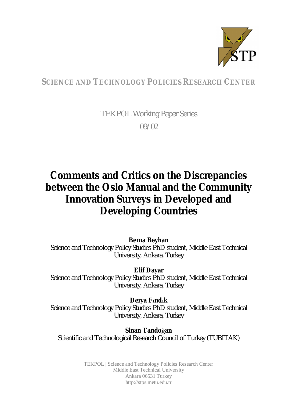

# **SCIENCE AND TECHNOLOGY POLICIES RESEARCH CENTER**

TEKPOL Working Paper Series 09/02

# **Comments and Critics on the Discrepancies between the Oslo Manual and the Community Innovation Surveys in Developed and Developing Countries**

**Berna Beyhan** Science and Technology Policy Studies PhD student, Middle East Technical University, Ankara, Turkey

**Elif Dayar** Science and Technology Policy Studies PhD student, Middle East Technical University, Ankara, Turkey

**Derya Fndk** Science and Technology Policy Studies PhD student, Middle East Technical University, Ankara, Turkey

**Sinan Tandoøan** Scientific and Technological Research Council of Turkey (TUBITAK)

> TEKPOL | Science and Technology Policies Research Center Middle East Technical University Ankara 06531 Turkey <http://stps.metu.edu.tr>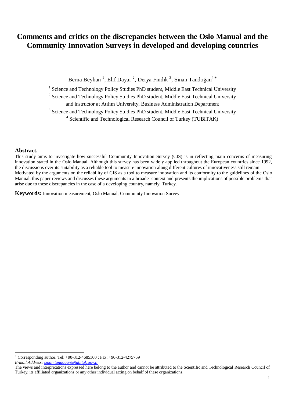# **Comments and critics on the discrepancies between the Oslo Manual and the Community Innovation Surveys in developed and developing countries**

Berna Beyhan <sup>1</sup>, Elif Dayar <sup>2</sup>, Derya Fındık <sup>3</sup>, Sinan Tandoğan<sup>4+</sup>

<sup>1</sup> Science and Technology Policy Studies PhD student, Middle East Technical University

<sup>2</sup> Science and Technology Policy Studies PhD student, Middle East Technical University

and instructor at Atılım University, Business Administration Department

<sup>3</sup> Science and Technology Policy Studies PhD student, Middle East Technical University

<sup>4</sup> Scientific and Technological Research Council of Turkey (TUBITAK)

#### **Abstract.**

This study aims to investigate how successful Community Innovation Survey (CIS) is in reflecting main concerns of measuring innovation stated in the Oslo Manual. Although this survey has been widely applied throughout the European countries since 1992, the discussions over its suitability as a reliable tool to measure innovation along different cultures of innovativeness still remain. Motivated by the arguments on the reliability of CIS as a tool to measure innovation and its conformity to the guidelines of the Oslo Manual, this paper reviews and discusses these arguments in a broader context and presents the implications of possible problems that arise due to these discrepancies in the case of a developing country, namely, Turkey.

**Keywords:** Innovation measurement, Oslo Manual, Community Innovation Survey

<sup>+</sup> Corresponding author. Tel: +90-312-4685300 ; Fax: +90-312-4275769

*E-mail Address: [sinan.tandogan@tubitak.gov.tr](mailto:sinan.tandogan@tubitak.gov.tr)*

The views and interpretations expressed here belong to the author and cannot be attributed to the Scientific and Technological Research Council of Turkey, its affiliated organizations or any other individual acting on behalf of these organizations.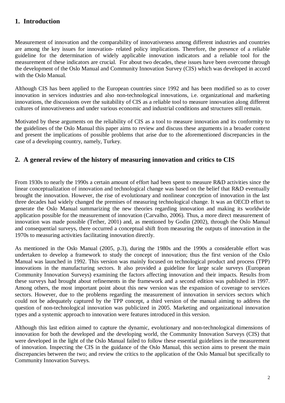# **1. Introduction**

Measurement of innovation and the comparability of innovativeness among different industries and countries are among the key issues for innovation- related policy implications. Therefore, the presence of a reliable guideline for the determination of widely applicable innovation indicators and a reliable tool for the measurement of these indicators are crucial. For about two decades, these issues have been overcome through the development of the Oslo Manual and Community Innovation Survey (CIS) which was developed in accord with the Oslo Manual.

Although CIS has been applied to the European countries since 1992 and has been modified so as to cover innovation in services industries and also non-technological innovations, i.e. organizational and marketing innovations, the discussions over the suitability of CIS as a reliable tool to measure innovation along different cultures of innovativeness and under various economic and industrial conditions and structures still remain.

Motivated by these arguments on the reliability of CIS as a tool to measure innovation and its conformity to the guidelines of the Oslo Manual this paper aims to review and discuss these arguments in a broader context and present the implications of possible problems that arise due to the aforementioned discrepancies in the case of a developing country, namely, Turkey.

# **2. A general review of the history of measuring innovation and critics to CIS**

From 1930s to nearly the 1990s a certain amount of effort had been spent to measure R&D activities since the linear conceptualization of innovation and technological change was based on the belief that R&D eventually brought the innovation. However, the rise of evolutionary and nonlinear conception of innovation in the last three decades had widely changed the premises of measuring technological change. It was an OECD effort to generate the Oslo Manual summarizing the new theories regarding innovation and making its worldwide application possible for the measurement of innovation (Carvalho, 2006). Thus, a more direct measurement of innovation was made possible (Tether, 2001) and, as mentioned by Godin (2002), through the Oslo Manual and consequential surveys, there occurred a conceptual shift from measuring the outputs of innovation in the 1970s to measuring activities facilitating innovation directly.

As mentioned in the Oslo Manual (2005, p.3), during the 1980s and the 1990s a considerable effort was undertaken to develop a framework to study the concept of innovation; thus the first version of the Oslo Manual was launched in 1992. This version was mainly focused on technological product and process (TPP) innovations in the manufacturing sectors. It also provided a guideline for large scale surveys (European Community Innovation Surveys) examining the factors affecting innovation and their impacts. Results from these surveys had brought about refinements in the framework and a second edition was published in 1997. Among others, the most important point about this new version was the expansion of coverage to services sectors. However, due to the problems regarding the measurement of innovation in services sectors which could not be adequately captured by the TPP concept, a third version of the manual aiming to address the question of non-technological innovation was publicized in 2005. Marketing and organizational innovation types and a systemic approach to innovation were features introduced in this version.

Although this last edition aimed to capture the dynamic, evolutionary and non-technological dimensions of innovation for both the developed and the developing world, the Community Innovation Surveys (CIS) that were developed in the light of the Oslo Manual failed to follow these essential guidelines in the measurement of innovation. Inspecting the CIS in the guidance of the Oslo Manual, this section aims to present the main discrepancies between the two; and review the critics to the application of the Oslo Manual but specifically to Community Innovation Surveys.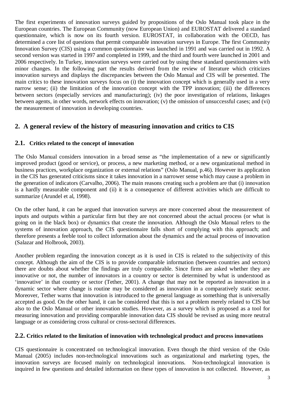The first experiments of innovation surveys guided by propositions of the Oslo Manual took place in the European countries. The European Community (now European Union) and EUROSTAT delivered a standard questionnaire, which is now on its fourth version. EUROSTAT, in collaboration with the OECD, has determined a core list of questions that permit comparable innovation surveys in Europe. The first Community Innovation Survey (CIS) using a common questionnaire was launched in 1991 and was carried out in 1992. A second version was started in 1997 and completed in 1999, and the third and fourth were launched in 2001 and 2006 respectively. In Turkey, innovation surveys were carried out by using these standard questionnaires with minor changes. In the following part the results derived from the review of literature which criticizes innovation surveys and displays the discrepancies between the Oslo Manual and CIS will be presented. The main critics to these innovation surveys focus on (i) the innovation concept which is generally used in a very narrow sense; (ii) the limitation of the innovation concept with the TPP innovation; (iii) the differences between sectors (especially services and manufacturing); (iv) the poor investigation of relations, linkages between agents, in other words, network effects on innovation; (v) the omission of unsuccessful cases; and (vi) the measurement of innovation in developing countries.

# **2. A general review of the history of measuring innovation and critics to CIS**

# **2.1. Critics related to the concept of innovation**

The Oslo Manual considers innovation in a broad sense as "the implementation of a new or significantly improved product (good or service), or process, a new marketing method, or a new organizational method in business practices, workplace organization or external relations" (Oslo Manual, p.46). However its application in the CIS has generated criticisms since it takes innovation in a narrower sense which may cause a problem in the generation of indicators (Carvalho, 2006). The main reasons creating such a problem are that (i) innovation is a hardly measurable component and (ii) it is a consequence of different activities which are difficult to summarize (Arundel et al, 1998).

On the other hand, it can be argued that innovation surveys are more concerned about the measurement of inputs and outputs within a particular firm but they are not concerned about the actual process (or what is going on in the black box) or dynamics that create the innovation. Although the Oslo Manual refers to the systems of innovation approach, the CIS questionnaire falls short of complying with this approach; and therefore presents a feeble tool to collect information about the dynamics and the actual process of innovation (Salazar and Holbrook, 2003).

Another problem regarding the innovation concept as it is used in CIS is related to the subjectivity of this concept. Although the aim of the CIS is to provide comparable information (between countries and sectors) there are doubts about whether the findings are truly comparable. Since firms are asked whether they are innovative or not, the number of innovators in a country or sector is determined by what is understood as 'innovative' in that country or sector (Tether, 2001). A change that may not be reported as innovation in a dynamic sector where change is routine may be considered as innovation in a comparatively static sector. Moreover, Tether warns that innovation is introduced to the general language as something that is universally accepted as good. On the other hand, it can be considered that this is not a problem merely related to CIS but also to the Oslo Manual or other innovation studies. However, as a survey which is proposed as a tool for measuring innovation and providing comparable innovation data CIS should be revised as using more neutral language or as considering cross cultural or cross-sectoral differences.

# **2.2. Critics related to the limitation of innovation with technological product and process innovations**

CIS questionnaire is concentrated on technological innovation. Even though the third version of the Oslo Manual (2005) includes non-technological innovations such as organizational and marketing types, the innovation surveys are focused mainly on technological innovations. Non-technological innovation is inquired in few questions and detailed information on these types of innovation is not collected. However, as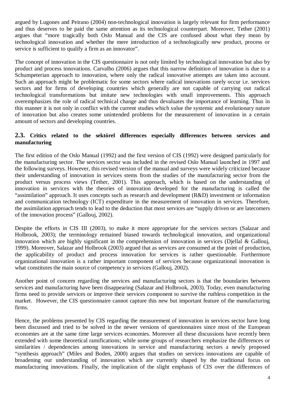argued by Lugones and Peirano (2004) non-technological innovation is largely relevant for firm performance and thus deserves to be paid the same attention as its technological counterpart. Moreover, Tether (2001) argues that "more tragically both Oslo Manual and the CIS are confused about what they mean by technological innovation and whether the mere introduction of a technologically new product, process or service is sufficient to qualify a firm as an innovator".

The concept of innovation in the CIS questionnaire is not only limited by technological innovation but also by product and process innovations. Carvalho (2006) argues that this narrow definition of innovation is due to a Schumpeterian approach to innovation, where only the radical innovative attempts are taken into account. Such an approach might be problematic for some sectors where radical innovations rarely occur i.e. services sectors and for firms of developing countries which generally are not capable of carrying out radical technological transformations but imitate new technologies with small improvements. This approach overemphasizes the role of radical technical change and thus devaluates the importance of learning. Thus in this manner it is not only in conflict with the current studies which value the systemic and evolutionary nature of innovation but also creates some unintended problems for the measurement of innovation in a certain amount of sectors and developing countries.

#### **2.3. Critics related to the sektörel differences especially differences between services and manufacturing**

The first edition of the Oslo Manual (1992) and the first version of CIS (1992) were designed particularly for the manufacturing sector. The services sector was included in the revised Oslo Manual launched in 1997 and the following surveys. However, this revised version of the manual and surveys were widely criticized because their understanding of innovation in services stems from the studies of the manufacturing sector from the product versus process views (Tether, 2001). This approach, which is based on the understanding of innovation in services with the theories of innovation developed for the manufacturing is called the "assimilation" approach. It uses concepts such as research and development (R&D) investment or information and communication technology (ICT) expenditure in the measurement of innovation in services. Therefore, the assimilation approach tends to lead to the deduction that most services are "supply driven or are latecomers of the innovation process" (Gallouj, 2002).

Despite the efforts in CIS III (2003), to make it more appropriate for the services sectors (Salazar and Holbrook, 2003); the terminology remained biased towards technological innovation, and organizational innovation which are highly significant in the comprehension of innovation in services (Djellal & Gallouj, 1999). Moreover, Salazar and Holbrook (2003) argued that as services are consumed at the point of production, the applicability of product and process innovation for services is rather questionable. Furthermore organizational innovation is a rather important component of services because organizational innovation is what constitutes the main source of competency in services (Gallouj, 2002).

Another point of concern regarding the services and manufacturing sectors is that the boundaries between services and manufacturing have been disappearing (Salazar and Holbrook, 2003). Today, even manufacturing firms need to provide services or improve their services component to survive the ruthless competition in the market. However, the CIS questionnaire cannot capture this new but important feature of the manufacturing firms.

Hence, the problems presented by CIS regarding the measurement of innovation in services sector have long been discussed and tried to be solved in the newer versions of questionnaires since most of the European economies are at the same time large services economies. Moreover all these discussions have recently been extended with some theoretical ramifications; while some groups of researchers emphasize the differences or similarities / dependencies among innovations in service and manufacturing sectors a newly proposed "synthesis approach" (Miles and Boden, 2000) argues that studies on services innovations are capable of broadening our understanding of innovation which are currently shaped by the traditional focus on manufacturing innovations. Finally, the implication of the slight emphasis of CIS over the differences of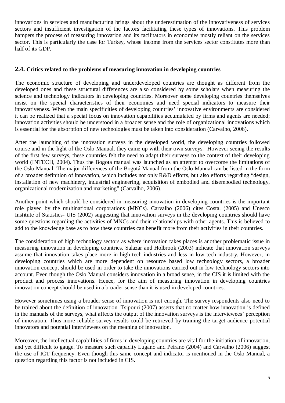innovations in services and manufacturing brings about the underestimation of the innovativeness of services sectors and insufficient investigation of the factors facilitating these types of innovations. This problem hampers the process of measuring innovation and its facilitators in economies mostly reliant on the services sector. This is particularly the case for Turkey, whose income from the services sector constitutes more than half of its GDP.

#### **2.4. Critics related to the problems of measuring innovation in developing countries**

The economic structure of developing and underdeveloped countries are thought as different from the developed ones and these structural differences are also considered by some scholars when measuring the science and technology indicators in developing countries. Moreover some developing countries themselves insist on the special characteristics of their economies and need special indicators to measure their innovativeness. When the main specificities of developing countries' innovative environments are considered it can be realized that a special focus on innovation capabilities accumulated by firms and agents are needed; innovation activities should be understood in a broader sense and the role of organizational innovations which is essential for the absorption of new technologies must be taken into consideration (Carvalho, 2006).

After the launching of the innovation surveys in the developed world, the developing countries followed course and in the light of the Oslo Manual, they came up with their own surveys. However seeing the results of the first few surveys, these countries felt the need to adapt their surveys to the context of their developing world (INTECH, 2004). Thus the Bogota manual was launched as an attempt to overcome the limitations of the Oslo Manual. The major differences of the Bogotá Manual from the Oslo Manual can be listed in the form of a broader definition of innovation, which includes not only R&D efforts, but also efforts regarding "design, installation of new machinery, industrial engineering, acquisition of embodied and disembodied technology, organizational modernization and marketing" (Carvalho, 2006).

Another point which should be considered in measuring innovation in developing countries is the important role played by the multinational corporations (MNCs). Carvalho (2006) cites Costa, (2005) and Unesco Institute of Statistics- UIS (2002) suggesting that innovation surveys in the developing countries should have some questions regarding the activities of MNCs and their relationships with other agents. This is believed to add to the knowledge base as to how these countries can benefit more from their activities in their countries.

The consideration of high technology sectors as where innovation takes places is another problematic issue in measuring innovation in developing countries. Salazar and Holbrook (2003) indicate that innovation surveys assume that innovation takes place more in high-tech industries and less in low tech industry. However, in developing countries which are more dependent on resource based low technology sectors, a broader innovation concept should be used in order to take the innovations carried out in low technology sectors into account. Even though the Oslo Manual considers innovation in a broad sense, in the CIS it is limited with the product and process innovations. Hence, for the aim of measuring innovation in developing countries innovation concept should be used in a broader sense than it is used in developed countries.

However sometimes using a broader sense of innovation is not enough. The survey respondents also need to be trained about the definition of innovation. Tsipouri (2007) asserts that no matter how innovation is defined in the manuals of the surveys, what affects the output of the innovation surveys is the interviewees' perception of innovation. Thus more reliable survey results could be retrieved by training the target audience potential innovators and potential interviewees on the meaning of innovation.

Moreover, the intellectual capabilities of firms in developing countries are vital for the initiation of innovation, and yet difficult to gauge. To measure such capacity Lugano and Peirano (2004) and Carvalho (2006) suggest the use of ICT frequency. Even though this same concept and indicator is mentioned in the Oslo Manual, a question regarding this factor is not included in CIS.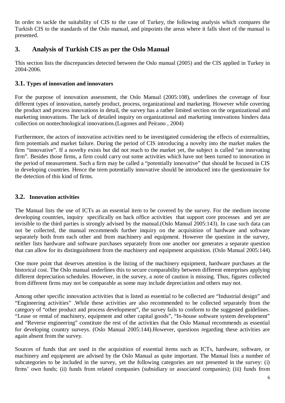In order to tackle the suitability of CIS to the case of Turkey, the following analysis which compares the Turkish CIS to the standards of the Oslo manual, and pinpoints the areas where it falls short of the manual is presented.

# **3. Analysis of Turkish CIS as per the Oslo Manual**

This section lists the discrepancies detected between the Oslo manual (2005) and the CIS applied in Turkey in 2004-2006.

## **3.1. Types of innovation and innovators**

For the purpose of innovation assessment, the Oslo Manual (2005:108), underlines the coverage of four different types of innovation, namely product, process, organizational and marketing. However while covering the product and process innovations in detail, the survey has a rather limited section on the organizational and marketing innovations. The lack of detailed inquiry on organizational and marketing innovations hinders data collection on nontechnological innovations.(Lugones and Peirano , 2004)

Furthermore, the actors of innovation activities need to be investigated considering the effects of externalities, firm potentials and market failure. During the period of CIS introducing a novelty into the market makes the firm "innovative". If a novelty exists but did not reach to the market yet, the subject is called "an innovating firm". Besides those firms, a firm could carry out some activities which have not been turned to innovation in the period of measurement. Such a firm may be called a "potentially innovative" that should be focused in CIS in developing countries. Hence the term potentially innovative should be introduced into the questionnaire for the detection of this kind of firms.

## **3.2. Innovation activities**

The Manual lists the use of ICTs as an essential item to be covered by the survey. For the medium income developing countries, inquiry specifically on back office activities that support core processes and yet are invisible to the third parties is strongly advised by the manual.(Oslo Manual 2005:143). In case such data can not be collected, the manual recommends further inquiry on the acquisition of hardware and software separately both from each other and from machinery and equipment. However the question in the survey, neither lists hardware and software purchases separately from one another nor generates a separate question that can allow for its distinguishment from the machinery and equipment acquisition. (Oslo Manual 2005:144).

One more point that deserves attention is the listing of the machinery equipment, hardware purchases at the historical cost. The Oslo manual underlines this to secure comparability between different enterprises applying different depreciation schedules. However, in the survey, a note of caution is missing. Thus, figures collected from different firms may not be comparable as some may include depreciation and others may not.

Among other specific innovation activities that is listed as essential to be collected are "Industrial design" and "Engineering activities" .While these activities are also recommended to be collected separately from the category of "other product and process development", the survey fails to conform to the suggested guidelines. "Lease or rental of machinery, equipment and other capital goods", "In-house software system development" and "Reverse engineering" constitute the rest of the activities that the Oslo Manual recommends as essential for developing country surveys. (Oslo Manual 2005:144).However, questions regarding these activities are again absent from the survey.

Sources of funds that are used in the acquisition of essential items such as ICTs, hardware, software, or machinery and equipment are advised by the Oslo Manual as quite important. The Manual lists a number of subcategories to be included in the survey, yet the following categories are not presented in the survey: (i) firms' own funds; (ii) funds from related companies (subsidiary or associated companies); (iii) funds from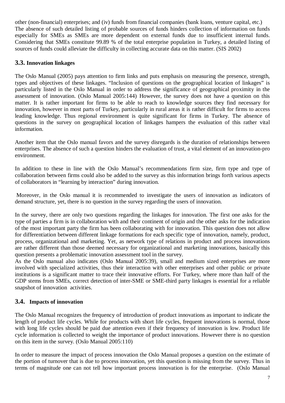other (non-financial) enterprises; and (iv) funds from financial companies (bank loans, venture capital, etc.) The absence of such detailed listing of probable sources of funds hinders collection of information on funds especially for SMEs as SMEs are more dependent on external funds due to insufficient internal funds. Considering that SMEs constitute 99.89 % of the total enterprise population in Turkey, a detailed listing of sources of funds could alleviate the difficulty in collecting accurate data on this matter. (SIS 2002)

### **3.3. Innovation linkages**

The Oslo Manual (2005) pays attention to firm links and puts emphasis on measuring the presence, strength, types and objectives of these linkages. "Inclusion of questions on the geographical location of linkages" is particularly listed in the Oslo Manual in order to address the significance of geographical proximity in the assessment of innovation. (Oslo Manual 2005:144) However, the survey does not have a question on this matter. It is rather important for firms to be able to reach to knowledge sources they find necessary for innovation, however in most parts of Turkey, particularly in rural areas it is rather difficult for firms to access leading knowledge. Thus regional environment is quite significant for firms in Turkey. The absence of questions in the survey on geographical location of linkages hampers the evaluation of this rather vital information.

Another item that the Oslo manual favors and the survey disregards is the duration of relationships between enterprises. The absence of such a question hinders the evaluation of trust, a vital element of an innovation-pro environment.

In addition to these in line with the Oslo Manual's recommendations firm size, firm type and type of collaboration between firms could also be added to the survey as this information brings forth various aspects of collaborators in "learning by interaction" during innovation.

 Moreover, in the Oslo manual it is recommended to investigate the users of innovation as indicators of demand structure, yet, there is no question in the survey regarding the users of innovation.

In the survey, there are only two questions regarding the linkages for innovation. The first one asks for the type of parties a firm is in collaboration with and their continent of origin and the other asks for the indication of the most important party the firm has been collaborating with for innovation. This question does not allow for differentiation between different linkage formations for each specific type of innovation, namely, product, process, organizational and marketing. Yet, as network type of relations in product and process innovations are rather different than those deemed necessary for organizational and marketing innovations, basically this question presents a problematic innovation assessment tool in the survey.

As the Oslo manual also indicates (Oslo Manual 2005:39), small and medium sized enterprises are more involved with specialized activities, thus their interaction with other enterprises and other public or private institutions is a significant matter to trace their innovative efforts. For Turkey, where more than half of the GDP stems from SMEs, correct detection of inter-SME or SME-third party linkages is essential for a reliable snapshot of innovation activities.

#### **3.4. Impacts of innovation**

The Oslo Manual recognizes the frequency of introduction of product innovations as important to indicate the length of product life cycles. While for products with short life cycles, frequent innovations is normal, those with long life cycles should be paid due attention even if their frequency of innovation is low. Product life cycle information is collected to weight the importance of product innovations. However there is no question on this item in the survey. (Oslo Manual 2005:110)

In order to measure the impact of process innovation the Oslo Manual proposes a question on the estimate of the portion of turnover that is due to process innovation, yet this question is missing from the survey. Thus in terms of magnitude one can not tell how important process innovation is for the enterprise. (Oslo Manual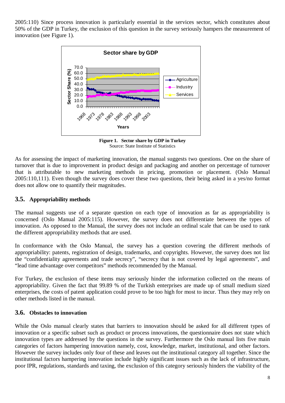2005:110) Since process innovation is particularly essential in the services sector, which constitutes about 50% of the GDP in Turkey, the exclusion of this question in the survey seriously hampers the measurement of innovation (see Figure 1).



**Figure 1. Sector share by GDP in Turkey** Source: State Institute of Statistics

As for assessing the impact of marketing innovation, the manual suggests two questions. One on the share of turnover that is due to improvement in product design and packaging and another on percentage of turnover that is attributable to new marketing methods in pricing, promotion or placement. (Oslo Manual 2005:110,111). Even though the survey does cover these two questions, their being asked in a yes/no format does not allow one to quantify their magnitudes.

#### **3.5. Appropriability methods**

The manual suggests use of a separate question on each type of innovation as far as appropriability is concerned (Oslo Manual 2005:115). However, the survey does not differentiate between the types of innovation. As opposed to the Manual, the survey does not include an ordinal scale that can be used to rank the different appropriability methods that are used.

In conformance with the Oslo Manual, the survey has a question covering the different methods of appropriability: patents, registration of design, trademarks, and copyrights. However, the survey does not list the "confidentiality agreements and trade secrecy", "secrecy that is not covered by legal agreements", and "lead time advantage over competitors" methods recommended by the Manual.

For Turkey, the exclusion of these items may seriously hinder the information collected on the means of appropriability. Given the fact that 99.89 % of the Turkish enterprises are made up of small medium sized enterprises, the costs of patent application could prove to be too high for most to incur. Thus they may rely on other methods listed in the manual.

#### **3.6. Obstacles to innovation**

While the Oslo manual clearly states that barriers to innovation should be asked for all different types of innovation or a specific subset such as product or process innovations, the questionnaire does not state which innovation types are addressed by the questions in the survey. Furthermore the Oslo manual lists five main categories of factors hampering innovation namely, cost, knowledge, market, institutional, and other factors. However the survey includes only four of these and leaves out the institutional category all together. Since the institutional factors hampering innovation include highly significant issues such as the lack of infrastructure, poor IPR, regulations, standards and taxing, the exclusion of this category seriously hinders the viability of the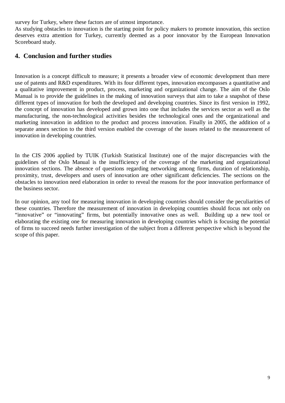survey for Turkey, where these factors are of utmost importance.

As studying obstacles to innovation is the starting point for policy makers to promote innovation, this section deserves extra attention for Turkey, currently deemed as a poor innovator by the European Innovation Scoreboard study.

## **4. Conclusion and further studies**

Innovation is a concept difficult to measure; it presents a broader view of economic development than mere use of patents and R&D expenditures. With its four different types, innovation encompasses a quantitative and a qualitative improvement in product, process, marketing and organizational change. The aim of the Oslo Manual is to provide the guidelines in the making of innovation surveys that aim to take a snapshot of these different types of innovation for both the developed and developing countries. Since its first version in 1992, the concept of innovation has developed and grown into one that includes the services sector as well as the manufacturing, the non-technological activities besides the technological ones and the organizational and marketing innovation in addition to the product and process innovation. Finally in 2005, the addition of a separate annex section to the third version enabled the coverage of the issues related to the measurement of innovation in developing countries.

In the CIS 2006 applied by TUIK (Turkish Statistical Institute) one of the major discrepancies with the guidelines of the Oslo Manual is the insufficiency of the coverage of the marketing and organizational innovation sections. The absence of questions regarding networking among firms, duration of relationship, proximity, trust, developers and users of innovation are other significant deficiencies. The sections on the obstacles to innovation need elaboration in order to reveal the reasons for the poor innovation performance of the business sector.

In our opinion, any tool for measuring innovation in developing countries should consider the peculiarities of these countries. Therefore the measurement of innovation in developing countries should focus not only on "innovative" or "innovating" firms, but potentially innovative ones as well. Building up a new tool or elaborating the existing one for measuring innovation in developing countries which is focusing the potential of firms to succeed needs further investigation of the subject from a different perspective which is beyond the scope of this paper.